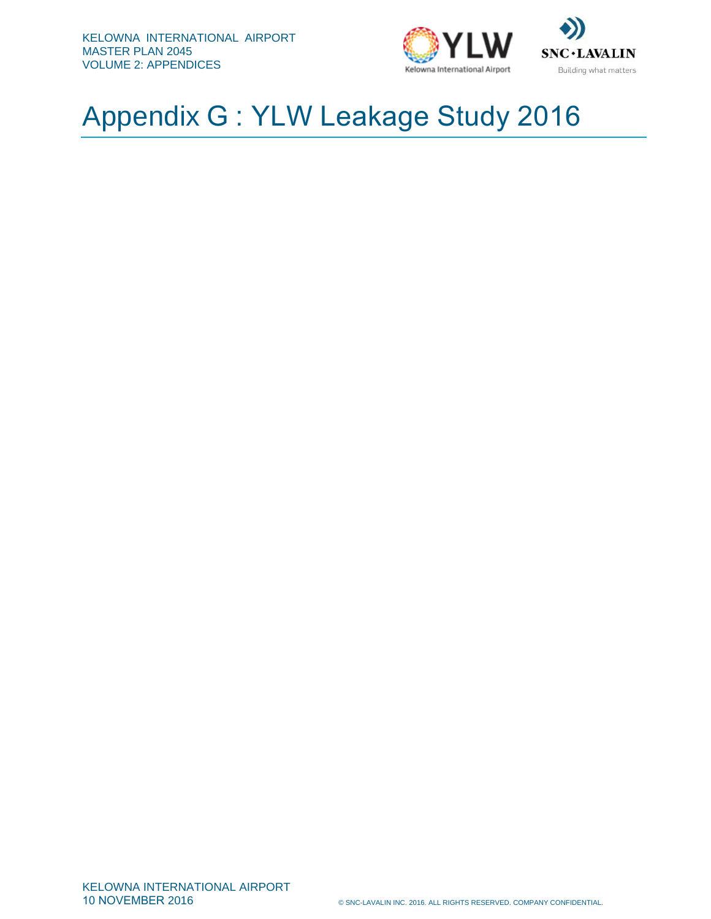



# Appendix G : YLW Leakage Study 2016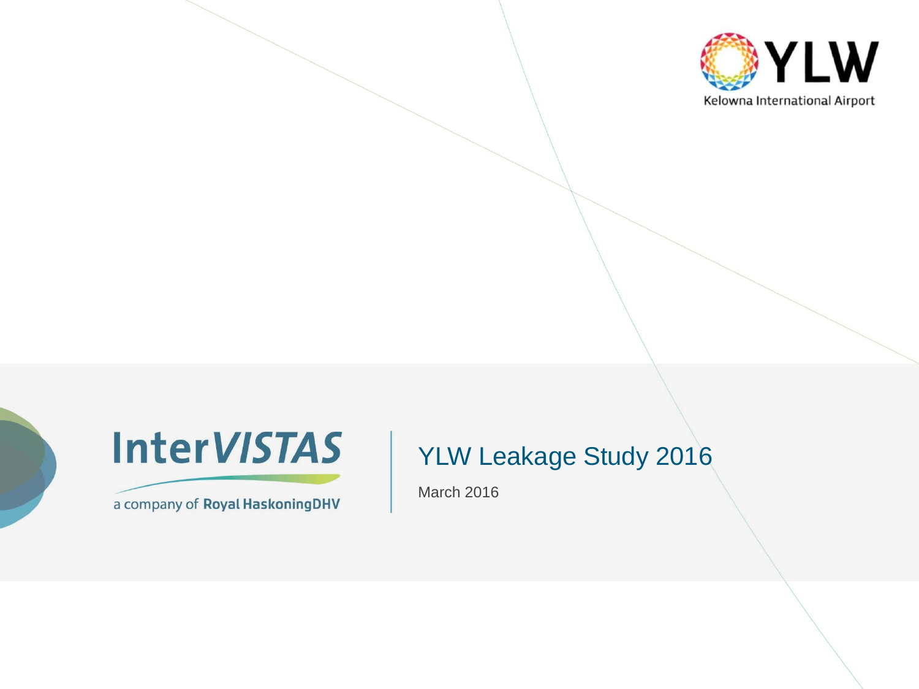



a company of Royal HaskoningDHV

#### YLW Leakage Study 2016

March 2016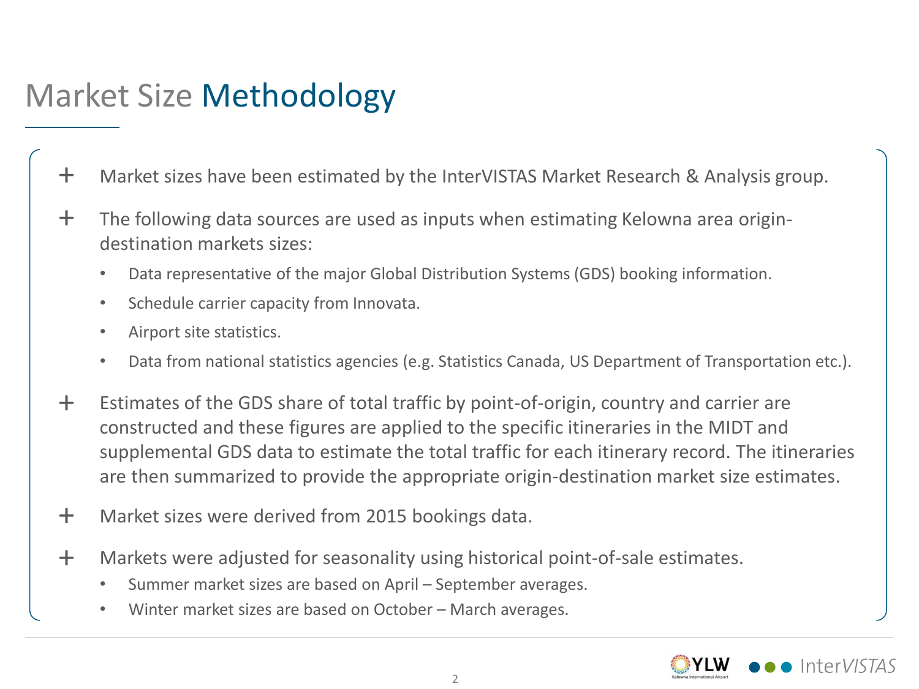# Market Size Methodology

- + Market sizes have been estimated by the InterVISTAS Market Research & Analysis group.
- The following data sources are used as inputs when estimating Kelowna area origindestination markets sizes: +
	- Data representative of the major Global Distribution Systems (GDS) booking information.
	- Schedule carrier capacity from Innovata.
	- Airport site statistics.
	- Data from national statistics agencies (e.g. Statistics Canada, US Department of Transportation etc.).
- Estimates of the GDS share of total traffic by point-of-origin, country and carrier are constructed and these figures are applied to the specific itineraries in the MIDT and supplemental GDS data to estimate the total traffic for each itinerary record. The itineraries are then summarized to provide the appropriate origin-destination market size estimates.  $+$
- + Market sizes were derived from 2015 bookings data.
- Markets were adjusted for seasonality using historical point-of-sale estimates.  $+$ 
	- Summer market sizes are based on April September averages.
	- Winter market sizes are based on October March averages.

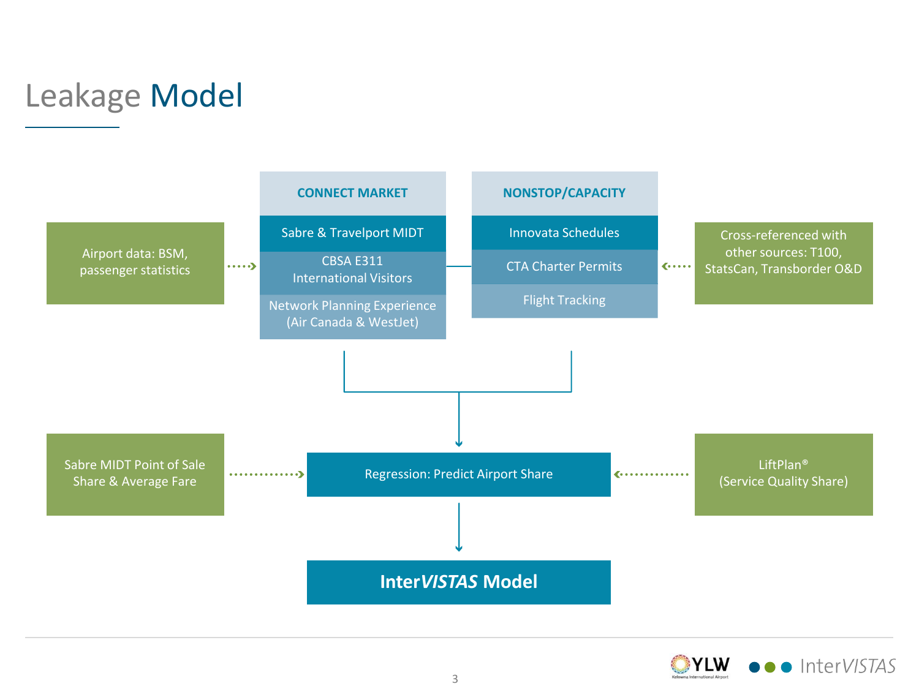

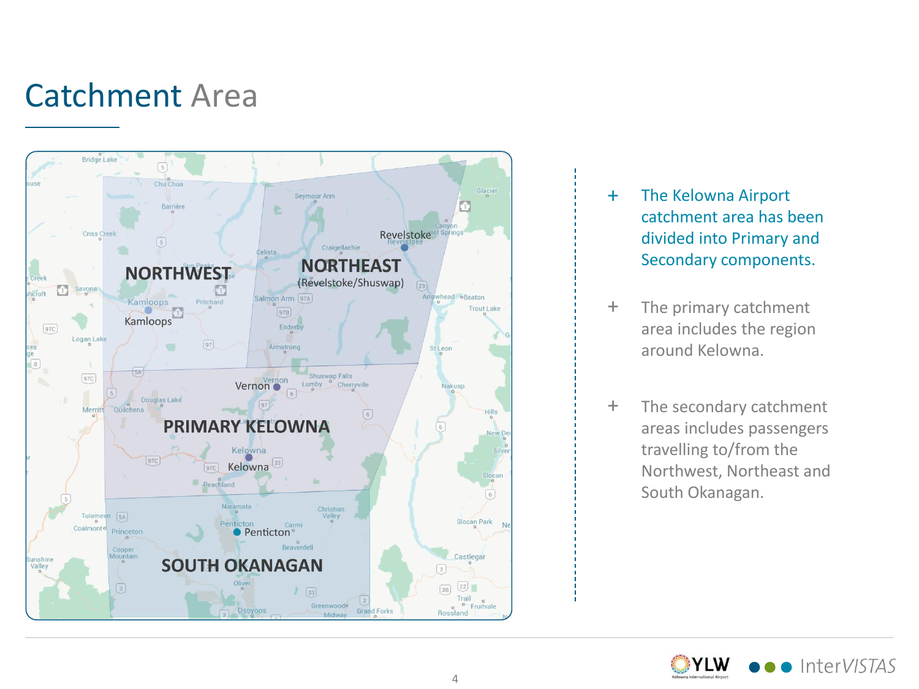# Catchment Area



- + The Kelowna Airport catchment area has been divided into Primary and Secondary components.
- $+$ The primary catchment area includes the region around Kelowna.
- $+$ The secondary catchment areas includes passengers travelling to/from the Northwest, Northeast and South Okanagan.

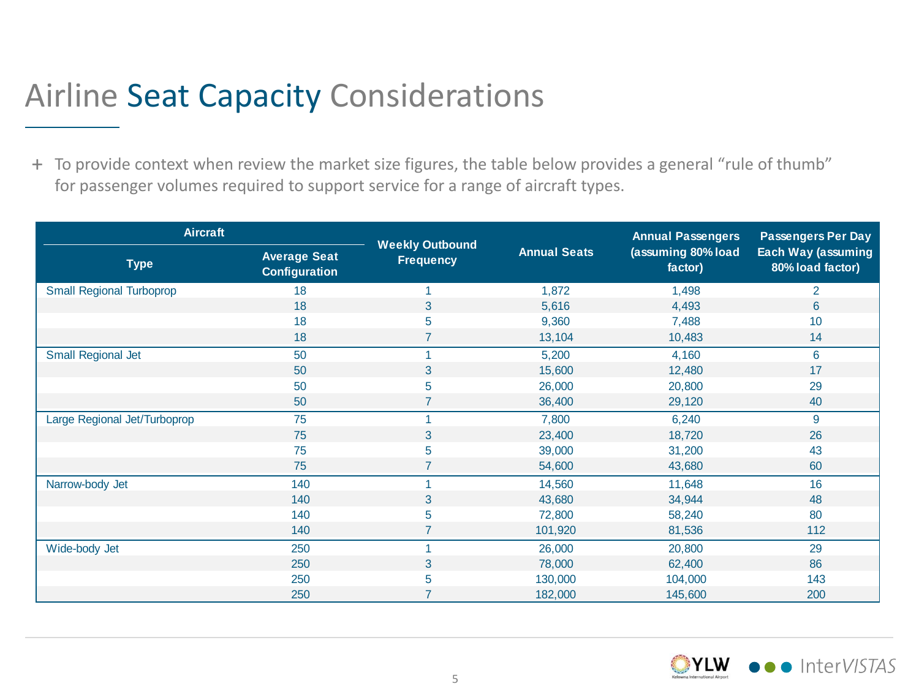## Airline Seat Capacity Considerations

+ To provide context when review the market size figures, the table below provides a general "rule of thumb" for passenger volumes required to support service for a range of aircraft types.

| <b>Aircraft</b>                 |                                             |                                            | <b>Annual Passengers</b> | <b>Passengers Per Day</b>     |                                               |  |
|---------------------------------|---------------------------------------------|--------------------------------------------|--------------------------|-------------------------------|-----------------------------------------------|--|
| <b>Type</b>                     | <b>Average Seat</b><br><b>Configuration</b> | <b>Weekly Outbound</b><br><b>Frequency</b> | <b>Annual Seats</b>      | (assuming 80% load<br>factor) | <b>Each Way (assuming</b><br>80% load factor) |  |
| <b>Small Regional Turboprop</b> | 18                                          |                                            | 1,872                    | 1,498                         | $\overline{2}$                                |  |
|                                 | 18                                          | 3                                          | 5,616                    | 4,493                         | 6                                             |  |
|                                 | 18                                          | 5                                          | 9,360                    | 7,488                         | 10                                            |  |
|                                 | 18                                          | 7                                          | 13,104                   | 10,483                        | 14                                            |  |
| Small Regional Jet              | 50                                          |                                            | 5,200                    | 4,160                         | 6                                             |  |
|                                 | 50                                          | 3                                          | 15,600                   | 12,480                        | 17                                            |  |
|                                 | 50                                          | 5                                          | 26,000                   | 20,800                        | 29                                            |  |
|                                 | 50                                          | $\overline{7}$                             | 36,400                   | 29,120                        | 40                                            |  |
| Large Regional Jet/Turboprop    | 75                                          |                                            | 7,800                    | 6,240                         | 9                                             |  |
|                                 | 75                                          | 3                                          | 23,400                   | 18,720                        | 26                                            |  |
|                                 | 75                                          | 5                                          | 39,000                   | 31,200                        | 43                                            |  |
|                                 | 75                                          |                                            | 54,600                   | 43,680                        | 60                                            |  |
| Narrow-body Jet                 | 140                                         |                                            | 14,560                   | 11,648                        | 16                                            |  |
|                                 | 140                                         | 3                                          | 43,680                   | 34,944                        | 48                                            |  |
|                                 | 140                                         | 5                                          | 72,800                   | 58,240                        | 80                                            |  |
|                                 | 140                                         | $\overline{7}$                             | 101,920                  | 81,536                        | 112                                           |  |
| Wide-body Jet                   | 250                                         |                                            | 26,000                   | 20,800                        | 29                                            |  |
|                                 | 250                                         | 3                                          | 78,000                   | 62,400                        | 86                                            |  |
|                                 | 250                                         | 5                                          | 130,000                  | 104,000                       | 143                                           |  |
|                                 | 250                                         | 7                                          | 182,000                  | 145,600                       | 200                                           |  |

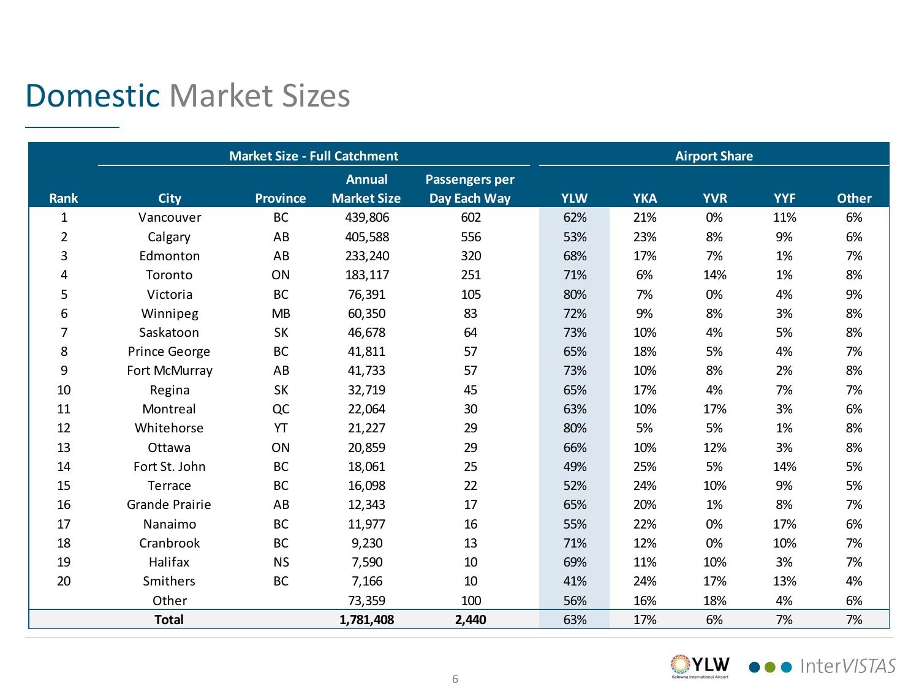## Domestic Market Sizes

|              | <b>Market Size - Full Catchment</b> |                 |                                 |              | <b>Airport Share</b> |            |            |            |              |
|--------------|-------------------------------------|-----------------|---------------------------------|--------------|----------------------|------------|------------|------------|--------------|
|              |                                     |                 | <b>Annual</b><br>Passengers per |              |                      |            |            |            |              |
| <b>Rank</b>  | <b>City</b>                         | <b>Province</b> | <b>Market Size</b>              | Day Each Way | <b>YLW</b>           | <b>YKA</b> | <b>YVR</b> | <b>YYF</b> | <b>Other</b> |
| $\mathbf{1}$ | Vancouver                           | BC              | 439,806                         | 602          | 62%                  | 21%        | 0%         | 11%        | 6%           |
| 2            | Calgary                             | AB              | 405,588                         | 556          | 53%                  | 23%        | 8%         | 9%         | 6%           |
| 3            | Edmonton                            | AB              | 233,240                         | 320          | 68%                  | 17%        | 7%         | 1%         | 7%           |
| 4            | Toronto                             | ON              | 183,117                         | 251          | 71%                  | 6%         | 14%        | 1%         | 8%           |
| 5            | Victoria                            | BC              | 76,391                          | 105          | 80%                  | 7%         | 0%         | 4%         | 9%           |
| 6            | Winnipeg                            | <b>MB</b>       | 60,350                          | 83           | 72%                  | 9%         | 8%         | 3%         | 8%           |
| 7            | Saskatoon                           | SK              | 46,678                          | 64           | 73%                  | 10%        | 4%         | 5%         | 8%           |
| 8            | Prince George                       | BC              | 41,811                          | 57           | 65%                  | 18%        | 5%         | 4%         | 7%           |
| 9            | Fort McMurray                       | AB              | 41,733                          | 57           | 73%                  | 10%        | 8%         | 2%         | 8%           |
| 10           | Regina                              | <b>SK</b>       | 32,719                          | 45           | 65%                  | 17%        | 4%         | 7%         | 7%           |
| 11           | Montreal                            | QC              | 22,064                          | 30           | 63%                  | 10%        | 17%        | 3%         | 6%           |
| 12           | Whitehorse                          | YT              | 21,227                          | 29           | 80%                  | 5%         | 5%         | 1%         | 8%           |
| 13           | Ottawa                              | ON              | 20,859                          | 29           | 66%                  | 10%        | 12%        | 3%         | 8%           |
| 14           | Fort St. John                       | BC              | 18,061                          | 25           | 49%                  | 25%        | 5%         | 14%        | 5%           |
| 15           | Terrace                             | BC              | 16,098                          | 22           | 52%                  | 24%        | 10%        | 9%         | 5%           |
| 16           | <b>Grande Prairie</b>               | AB              | 12,343                          | 17           | 65%                  | 20%        | 1%         | 8%         | 7%           |
| 17           | Nanaimo                             | BC              | 11,977                          | 16           | 55%                  | 22%        | 0%         | 17%        | 6%           |
| 18           | Cranbrook                           | BC              | 9,230                           | 13           | 71%                  | 12%        | 0%         | 10%        | 7%           |
| 19           | Halifax                             | <b>NS</b>       | 7,590                           | 10           | 69%                  | 11%        | 10%        | 3%         | 7%           |
| 20           | Smithers                            | BC              | 7,166                           | 10           | 41%                  | 24%        | 17%        | 13%        | 4%           |
|              | Other                               |                 | 73,359                          | 100          | 56%                  | 16%        | 18%        | 4%         | 6%           |
|              | <b>Total</b>                        |                 | 1,781,408                       | 2,440        | 63%                  | 17%        | 6%         | 7%         | 7%           |

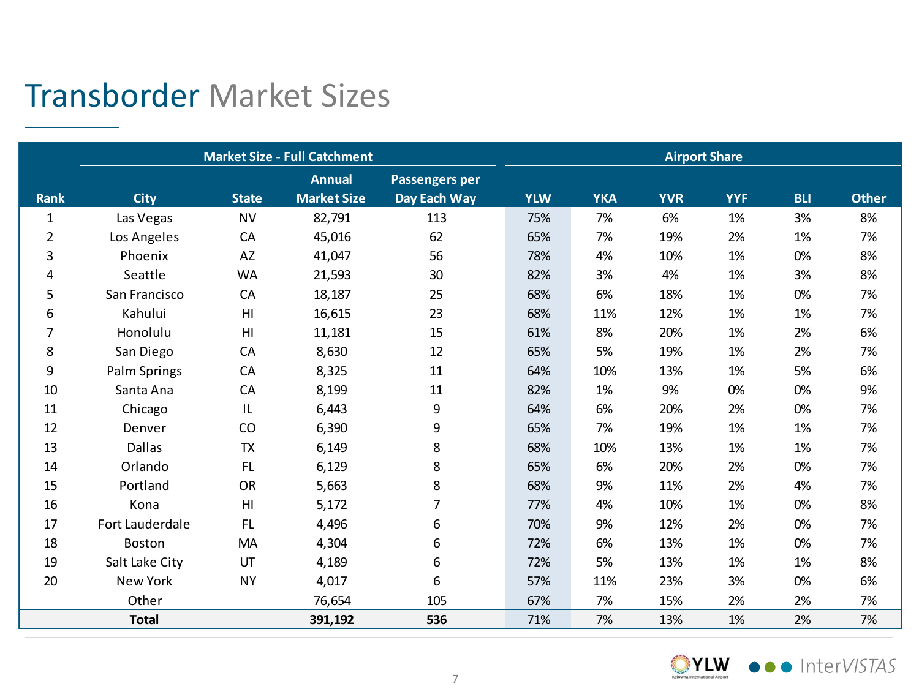#### Transborder Market Sizes

|                | <b>Market Size - Full Catchment</b> | <b>Airport Share</b> |                    |                       |            |            |            |            |            |              |
|----------------|-------------------------------------|----------------------|--------------------|-----------------------|------------|------------|------------|------------|------------|--------------|
|                |                                     |                      | <b>Annual</b>      | <b>Passengers per</b> |            |            |            |            |            |              |
| <b>Rank</b>    | <b>City</b>                         | <b>State</b>         | <b>Market Size</b> | Day Each Way          | <b>YLW</b> | <b>YKA</b> | <b>YVR</b> | <b>YYF</b> | <b>BLI</b> | <b>Other</b> |
| $\mathbf{1}$   | Las Vegas                           | <b>NV</b>            | 82,791             | 113                   | 75%        | 7%         | 6%         | 1%         | 3%         | 8%           |
| $\overline{2}$ | Los Angeles                         | CA                   | 45,016             | 62                    | 65%        | 7%         | 19%        | 2%         | 1%         | 7%           |
| 3              | Phoenix                             | AZ                   | 41,047             | 56                    | 78%        | 4%         | 10%        | 1%         | 0%         | 8%           |
| 4              | Seattle                             | <b>WA</b>            | 21,593             | 30                    | 82%        | 3%         | 4%         | 1%         | 3%         | 8%           |
| 5              | San Francisco                       | CA                   | 18,187             | 25                    | 68%        | 6%         | 18%        | 1%         | 0%         | 7%           |
| 6              | Kahului                             | H <sub>l</sub>       | 16,615             | 23                    | 68%        | 11%        | 12%        | 1%         | 1%         | 7%           |
| 7              | Honolulu                            | H <sub>l</sub>       | 11,181             | 15                    | 61%        | 8%         | 20%        | 1%         | 2%         | 6%           |
| 8              | San Diego                           | CA                   | 8,630              | 12                    | 65%        | 5%         | 19%        | 1%         | 2%         | 7%           |
| 9              | Palm Springs                        | CA                   | 8,325              | 11                    | 64%        | 10%        | 13%        | 1%         | 5%         | 6%           |
| 10             | Santa Ana                           | CA                   | 8,199              | 11                    | 82%        | 1%         | 9%         | 0%         | 0%         | 9%           |
| 11             | Chicago                             | IL                   | 6,443              | 9                     | 64%        | 6%         | 20%        | 2%         | 0%         | 7%           |
| 12             | Denver                              | CO                   | 6,390              | 9                     | 65%        | 7%         | 19%        | 1%         | 1%         | 7%           |
| 13             | <b>Dallas</b>                       | <b>TX</b>            | 6,149              | 8                     | 68%        | 10%        | 13%        | 1%         | 1%         | 7%           |
| 14             | Orlando                             | <b>FL</b>            | 6,129              | 8                     | 65%        | 6%         | 20%        | 2%         | 0%         | 7%           |
| 15             | Portland                            | <b>OR</b>            | 5,663              | 8                     | 68%        | 9%         | 11%        | 2%         | 4%         | 7%           |
| 16             | Kona                                | H <sub>l</sub>       | 5,172              | 7                     | 77%        | 4%         | 10%        | 1%         | 0%         | 8%           |
| 17             | Fort Lauderdale                     | <b>FL</b>            | 4,496              | 6                     | 70%        | 9%         | 12%        | 2%         | 0%         | 7%           |
| 18             | Boston                              | MA                   | 4,304              | 6                     | 72%        | 6%         | 13%        | 1%         | 0%         | 7%           |
| 19             | Salt Lake City                      | UT                   | 4,189              | 6                     | 72%        | 5%         | 13%        | 1%         | 1%         | 8%           |
| 20             | New York                            | <b>NY</b>            | 4,017              | 6                     | 57%        | 11%        | 23%        | 3%         | 0%         | 6%           |
|                | Other                               |                      | 76,654             | 105                   | 67%        | 7%         | 15%        | 2%         | 2%         | 7%           |
|                | <b>Total</b>                        |                      | 391,192            | 536                   | 71%        | 7%         | 13%        | 1%         | 2%         | 7%           |

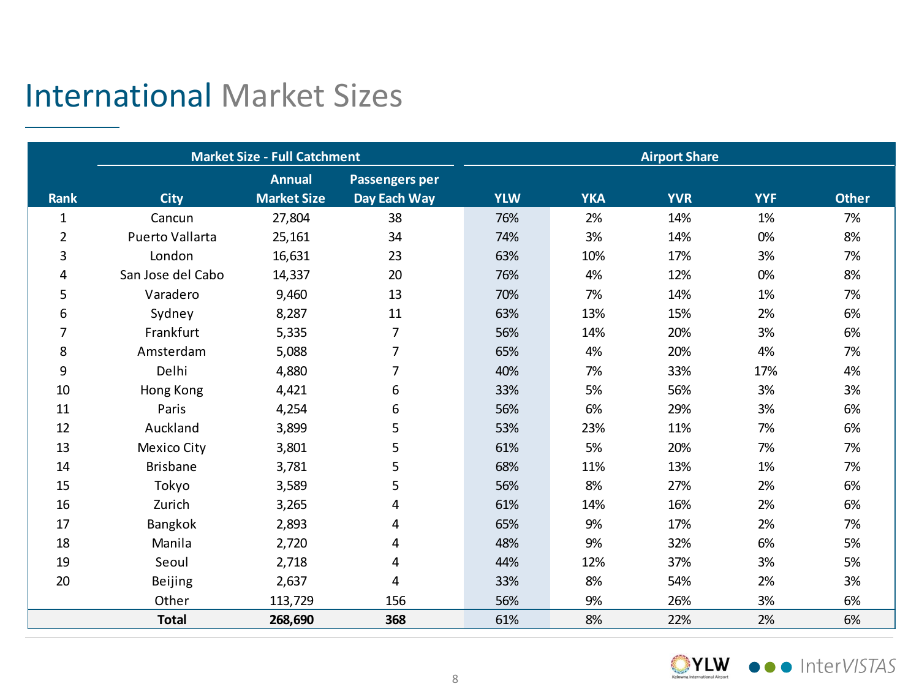## International Market Sizes

|              |                    | <b>Market Size - Full Catchment</b> |                       | <b>Airport Share</b> |            |            |            |              |
|--------------|--------------------|-------------------------------------|-----------------------|----------------------|------------|------------|------------|--------------|
|              |                    | <b>Annual</b>                       | <b>Passengers per</b> |                      |            |            |            |              |
| <b>Rank</b>  | <b>City</b>        | <b>Market Size</b>                  | Day Each Way          | <b>YLW</b>           | <b>YKA</b> | <b>YVR</b> | <b>YYF</b> | <b>Other</b> |
| $\mathbf{1}$ | Cancun             | 27,804                              | 38                    | 76%                  | 2%         | 14%        | 1%         | 7%           |
| 2            | Puerto Vallarta    | 25,161                              | 34                    | 74%                  | 3%         | 14%        | 0%         | 8%           |
| 3            | London             | 16,631                              | 23                    | 63%                  | 10%        | 17%        | 3%         | 7%           |
| 4            | San Jose del Cabo  | 14,337                              | 20                    | 76%                  | 4%         | 12%        | 0%         | 8%           |
| 5            | Varadero           | 9,460                               | 13                    | 70%                  | 7%         | 14%        | 1%         | 7%           |
| 6            | Sydney             | 8,287                               | 11                    | 63%                  | 13%        | 15%        | 2%         | 6%           |
| 7            | Frankfurt          | 5,335                               | $\overline{7}$        | 56%                  | 14%        | 20%        | 3%         | 6%           |
| 8            | Amsterdam          | 5,088                               | $\overline{7}$        | 65%                  | 4%         | 20%        | 4%         | 7%           |
| 9            | Delhi              | 4,880                               | 7                     | 40%                  | 7%         | 33%        | 17%        | 4%           |
| 10           | Hong Kong          | 4,421                               | 6                     | 33%                  | 5%         | 56%        | 3%         | 3%           |
| 11           | Paris              | 4,254                               | 6                     | 56%                  | 6%         | 29%        | 3%         | 6%           |
| 12           | Auckland           | 3,899                               | 5                     | 53%                  | 23%        | 11%        | 7%         | 6%           |
| 13           | <b>Mexico City</b> | 3,801                               | 5                     | 61%                  | 5%         | 20%        | 7%         | 7%           |
| 14           | <b>Brisbane</b>    | 3,781                               | 5                     | 68%                  | 11%        | 13%        | 1%         | 7%           |
| 15           | Tokyo              | 3,589                               | 5                     | 56%                  | 8%         | 27%        | 2%         | 6%           |
| 16           | Zurich             | 3,265                               | 4                     | 61%                  | 14%        | 16%        | 2%         | 6%           |
| 17           | Bangkok            | 2,893                               | 4                     | 65%                  | 9%         | 17%        | 2%         | 7%           |
| 18           | Manila             | 2,720                               | 4                     | 48%                  | 9%         | 32%        | 6%         | 5%           |
| 19           | Seoul              | 2,718                               | 4                     | 44%                  | 12%        | 37%        | 3%         | 5%           |
| 20           | Beijing            | 2,637                               | 4                     | 33%                  | 8%         | 54%        | 2%         | 3%           |
|              | Other              | 113,729                             | 156                   | 56%                  | 9%         | 26%        | 3%         | 6%           |
|              | <b>Total</b>       | 268,690                             | 368                   | 61%                  | 8%         | 22%        | 2%         | 6%           |